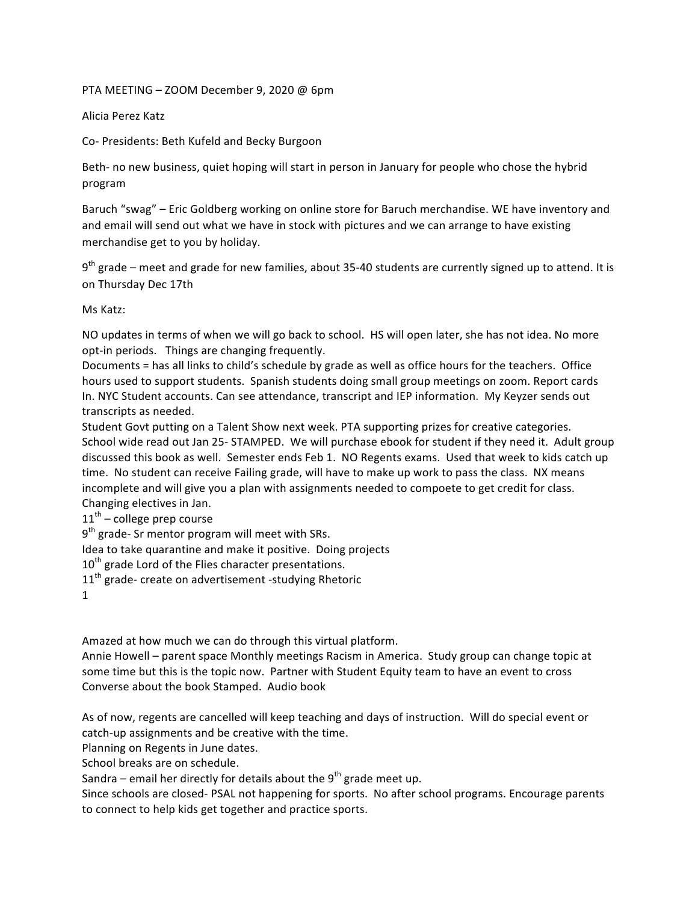PTA MEETING – ZOOM December 9, 2020 @ 6pm

Alicia Perez Katz

Co- Presidents: Beth Kufeld and Becky Burgoon

Beth- no new business, quiet hoping will start in person in January for people who chose the hybrid program

Baruch "swag" – Eric Goldberg working on online store for Baruch merchandise. WE have inventory and and email will send out what we have in stock with pictures and we can arrange to have existing merchandise get to you by holiday.

 $9<sup>th</sup>$  grade – meet and grade for new families, about 35-40 students are currently signed up to attend. It is on Thursday Dec 17th 

Ms Katz:

NO updates in terms of when we will go back to school. HS will open later, she has not idea. No more opt-in periods. Things are changing frequently.

Documents = has all links to child's schedule by grade as well as office hours for the teachers. Office hours used to support students. Spanish students doing small group meetings on zoom. Report cards In. NYC Student accounts. Can see attendance, transcript and IEP information. My Keyzer sends out transcripts as needed.

Student Govt putting on a Talent Show next week. PTA supporting prizes for creative categories. School wide read out Jan 25- STAMPED. We will purchase ebook for student if they need it. Adult group discussed this book as well. Semester ends Feb 1. NO Regents exams. Used that week to kids catch up time. No student can receive Failing grade, will have to make up work to pass the class. NX means incomplete and will give you a plan with assignments needed to compoete to get credit for class. Changing electives in Jan.

 $11<sup>th</sup>$  – college prep course

 $9<sup>th</sup>$  grade- Sr mentor program will meet with SRs.

Idea to take quarantine and make it positive. Doing projects

10<sup>th</sup> grade Lord of the Flies character presentations.

 $11<sup>th</sup>$  grade- create on advertisement -studying Rhetoric

1

Amazed at how much we can do through this virtual platform.

Annie Howell – parent space Monthly meetings Racism in America. Study group can change topic at some time but this is the topic now. Partner with Student Equity team to have an event to cross Converse about the book Stamped. Audio book

As of now, regents are cancelled will keep teaching and days of instruction. Will do special event or catch-up assignments and be creative with the time.

Planning on Regents in June dates.

School breaks are on schedule.

Sandra – email her directly for details about the  $9<sup>th</sup>$  grade meet up.

Since schools are closed- PSAL not happening for sports. No after school programs. Encourage parents to connect to help kids get together and practice sports.